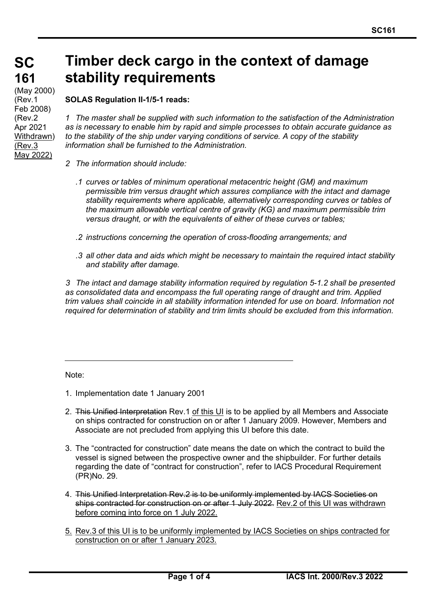# **Timber deck cargo in the context of damage stability requirements**

**SOLAS Regulation II-1/5-1 reads:**

**SC**

**161**

(May 2000) (Rev.1 Feb 2008) (Rev.2 Apr 2021 Withdrawn) (Rev.3 May 2022)

*1 The master shall be supplied with such information to the satisfaction of the Administration as is necessary to enable him by rapid and simple processes to obtain accurate guidance as to the stability of the ship under varying conditions of service. A copy of the stability information shall be furnished to the Administration.*

- *2 The information should include:*
	- *.1 curves or tables of minimum operational metacentric height (GM) and maximum permissible trim versus draught which assures compliance with the intact and damage stability requirements where applicable, alternatively corresponding curves or tables of the maximum allowable vertical centre of gravity (KG) and maximum permissible trim versus draught, or with the equivalents of either of these curves or tables;*
	- *.2 instructions concerning the operation of cross-flooding arrangements; and*
	- *.3 all other data and aids which might be necessary to maintain the required intact stability and stability after damage.*

*3 The intact and damage stability information required by regulation 5-1.2 shall be presented as consolidated data and encompass the full operating range of draught and trim. Applied trim values shall coincide in all stability information intended for use on board. Information not required for determination of stability and trim limits should be excluded from this information.*

Note:

- 1. Implementation date 1 January 2001
- 2. This Unified Interpretation Rev.1 of this UI is to be applied by all Members and Associate on ships contracted for construction on or after 1 January 2009. However, Members and Associate are not precluded from applying this UI before this date.
- 3. The "contracted for construction" date means the date on which the contract to build the vessel is signed between the prospective owner and the shipbuilder. For further details regarding the date of "contract for construction", refer to IACS Procedural Requirement (PR)No. 29.
- 4. This Unified Interpretation Rev.2 is to be uniformly implemented by IACS Societies on ships contracted for construction on or after 1 July 2022. Rev.2 of this UI was withdrawn before coming into force on 1 July 2022.
- 5. Rev.3 of this UI is to be uniformly implemented by IACS Societies on ships contracted for construction on or after 1 January 2023.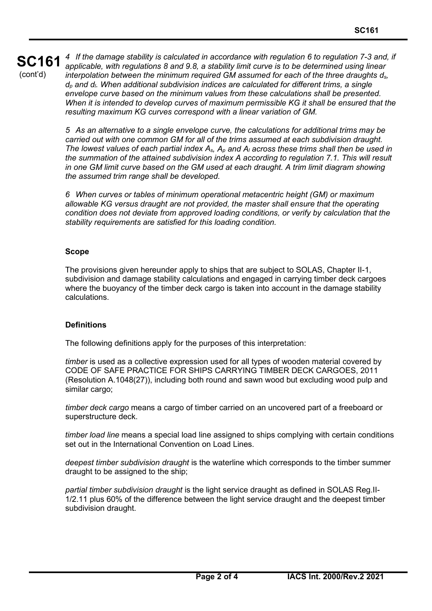### **SC161** (cont'd) *4 If the damage stability is calculated in accordance with regulation 6 to regulation 7-3 and, if applicable, with regulations 8 and 9.8, a stability limit curve is to be determined using linear interpolation between the minimum required GM assumed for each of the three draughts ds, dp and dl. When additional subdivision indices are calculated for different trims, a single envelope curve based on the minimum values from these calculations shall be presented. When it is intended to develop curves of maximum permissible KG it shall be ensured that the resulting maximum KG curves correspond with a linear variation of GM.*

*5 As an alternative to a single envelope curve, the calculations for additional trims may be carried out with one common GM for all of the trims assumed at each subdivision draught.* The lowest values of each partial index  $A_s$ ,  $A_p$  and  $A_l$  across these trims shall then be used in *the summation of the attained subdivision index A according to regulation 7.1. This will result in one GM limit curve based on the GM used at each draught. A trim limit diagram showing the assumed trim range shall be developed.*

*6 When curves or tables of minimum operational metacentric height (GM) or maximum allowable KG versus draught are not provided, the master shall ensure that the operating condition does not deviate from approved loading conditions, or verify by calculation that the stability requirements are satisfied for this loading condition.*

## **Scope**

The provisions given hereunder apply to ships that are subject to SOLAS, Chapter II-1, subdivision and damage stability calculations and engaged in carrying timber deck cargoes where the buoyancy of the timber deck cargo is taken into account in the damage stability calculations.

## **Definitions**

The following definitions apply for the purposes of this interpretation:

*timber* is used as a collective expression used for all types of wooden material covered by CODE OF SAFE PRACTICE FOR SHIPS CARRYING TIMBER DECK CARGOES, 2011 (Resolution A.1048(27)), including both round and sawn wood but excluding wood pulp and similar cargo;

*timber deck cargo* means a cargo of timber carried on an uncovered part of a freeboard or superstructure deck.

*timber load line* means a special load line assigned to ships complying with certain conditions set out in the International Convention on Load Lines.

*deepest timber subdivision draught* is the waterline which corresponds to the timber summer draught to be assigned to the ship;

*partial timber subdivision draught* is the light service draught as defined in SOLAS Reg.II-1/2.11 plus 60% of the difference between the light service draught and the deepest timber subdivision draught.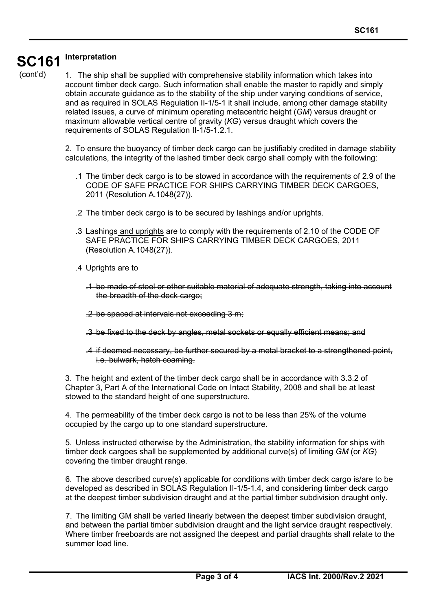### **SC161 Interpretation**

(cont'd)

1. The ship shall be supplied with comprehensive stability information which takes into account timber deck cargo. Such information shall enable the master to rapidly and simply obtain accurate guidance as to the stability of the ship under varying conditions of service, and as required in SOLAS Regulation II-1/5-1 it shall include, among other damage stability related issues, a curve of minimum operating metacentric height (*GM*) versus draught or maximum allowable vertical centre of gravity (*KG*) versus draught which covers the requirements of SOLAS Regulation II-1/5-1.2.1.

2. To ensure the buoyancy of timber deck cargo can be justifiably credited in damage stability calculations, the integrity of the lashed timber deck cargo shall comply with the following:

- .1 The timber deck cargo is to be stowed in accordance with the requirements of 2.9 of the CODE OF SAFE PRACTICE FOR SHIPS CARRYING TIMBER DECK CARGOES, 2011 (Resolution A.1048(27)).
- .2 The timber deck cargo is to be secured by lashings and/or uprights.
- .3 Lashings and uprights are to comply with the requirements of 2.10 of the CODE OF SAFE PRACTICE FOR SHIPS CARRYING TIMBER DECK CARGOES, 2011 (Resolution A.1048(27)).
- .4 Uprights are to

- .1 be made of steel or other suitable material of adequate strength, taking into account the breadth of the deck cargo;
- .2 be spaced at intervals not exceeding 3 m;
- .3 be fixed to the deck by angles, metal sockets or equally efficient means; and
- .4 if deemed necessary, be further secured by a metal bracket to a strengthened point, i.e. bulwark, hatch coaming.

3. The height and extent of the timber deck cargo shall be in accordance with 3.3.2 of Chapter 3, Part A of the International Code on Intact Stability, 2008 and shall be at least stowed to the standard height of one superstructure.

4. The permeability of the timber deck cargo is not to be less than 25% of the volume occupied by the cargo up to one standard superstructure.

5. Unless instructed otherwise by the Administration, the stability information for ships with timber deck cargoes shall be supplemented by additional curve(s) of limiting *GM* (or *KG*) covering the timber draught range.

6. The above described curve(s) applicable for conditions with timber deck cargo is/are to be developed as described in SOLAS Regulation II-1/5-1.4, and considering timber deck cargo at the deepest timber subdivision draught and at the partial timber subdivision draught only.

7. The limiting GM shall be varied linearly between the deepest timber subdivision draught, and between the partial timber subdivision draught and the light service draught respectively. Where timber freeboards are not assigned the deepest and partial draughts shall relate to the summer load line.